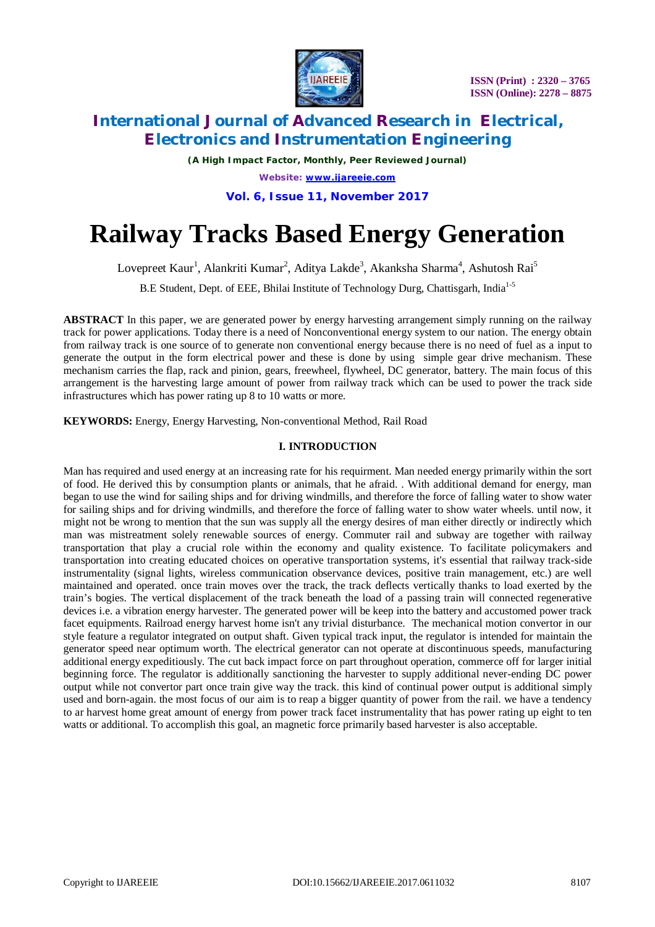

# **International Journal of Advanced Research in Electrical, Electronics and Instrumentation Engineering**

*(A High Impact Factor, Monthly, Peer Reviewed Journal) Website: [www.ijareeie.com](http://www.ijareeie.com)* **Vol. 6, Issue 11, November 2017**

# **Railway Tracks Based Energy Generation**

Lovepreet Kaur<sup>1</sup>, Alankriti Kumar<sup>2</sup>, Aditya Lakde<sup>3</sup>, Akanksha Sharma<sup>4</sup>, Ashutosh Rai<sup>5</sup>

B.E Student, Dept. of EEE, Bhilai Institute of Technology Durg, Chattisgarh, India<sup>1-5</sup>

**ABSTRACT** In this paper, we are generated power by energy harvesting arrangement simply running on the railway track for power applications. Today there is a need of Nonconventional energy system to our nation. The energy obtain from railway track is one source of to generate non conventional energy because there is no need of fuel as a input to generate the output in the form electrical power and these is done by using simple gear drive mechanism. These mechanism carries the flap, rack and pinion, gears, freewheel, flywheel, DC generator, battery. The main focus of this arrangement is the harvesting large amount of power from railway track which can be used to power the track side infrastructures which has power rating up 8 to 10 watts or more.

**KEYWORDS:** Energy, Energy Harvesting, Non-conventional Method, Rail Road

## **I. INTRODUCTION**

Man has required and used energy at an increasing rate for his requirment. Man needed energy primarily within the sort of food. He derived this by consumption plants or animals, that he afraid. . With additional demand for energy, man began to use the wind for sailing ships and for driving windmills, and therefore the force of falling water to show water for sailing ships and for driving windmills, and therefore the force of falling water to show water wheels. until now, it might not be wrong to mention that the sun was supply all the energy desires of man either directly or indirectly which man was mistreatment solely renewable sources of energy. Commuter rail and subway are together with railway transportation that play a crucial role within the economy and quality existence. To facilitate policymakers and transportation into creating educated choices on operative transportation systems, it's essential that railway track-side instrumentality (signal lights, wireless communication observance devices, positive train management, etc.) are well maintained and operated. once train moves over the track, the track deflects vertically thanks to load exerted by the train's bogies. The vertical displacement of the track beneath the load of a passing train will connected regenerative devices i.e. a vibration energy harvester. The generated power will be keep into the battery and accustomed power track facet equipments. Railroad energy harvest home isn't any trivial disturbance. The mechanical motion convertor in our style feature a regulator integrated on output shaft. Given typical track input, the regulator is intended for maintain the generator speed near optimum worth. The electrical generator can not operate at discontinuous speeds, manufacturing additional energy expeditiously. The cut back impact force on part throughout operation, commerce off for larger initial beginning force. The regulator is additionally sanctioning the harvester to supply additional never-ending DC power output while not convertor part once train give way the track. this kind of continual power output is additional simply used and born-again. the most focus of our aim is to reap a bigger quantity of power from the rail. we have a tendency to ar harvest home great amount of energy from power track facet instrumentality that has power rating up eight to ten watts or additional. To accomplish this goal, an magnetic force primarily based harvester is also acceptable.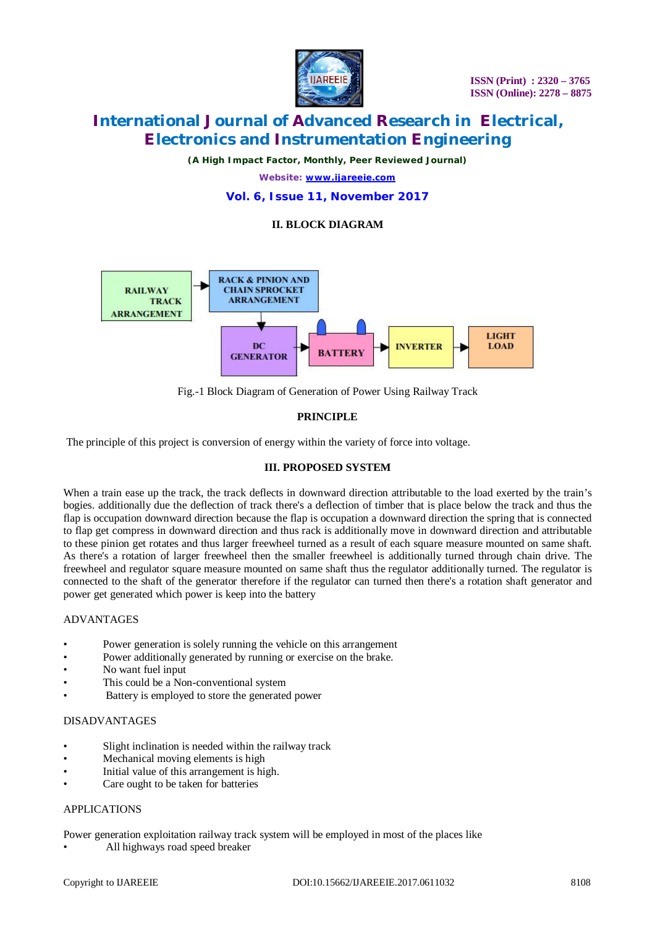

# **International Journal of Advanced Research in Electrical, Electronics and Instrumentation Engineering**

*(A High Impact Factor, Monthly, Peer Reviewed Journal)*

*Website: [www.ijareeie.com](http://www.ijareeie.com)*

## **Vol. 6, Issue 11, November 2017**

# **II. BLOCK DIAGRAM**



Fig.-1 Block Diagram of Generation of Power Using Railway Track

# **PRINCIPLE**

The principle of this project is conversion of energy within the variety of force into voltage.

## **III. PROPOSED SYSTEM**

When a train ease up the track, the track deflects in downward direction attributable to the load exerted by the train's bogies. additionally due the deflection of track there's a deflection of timber that is place below the track and thus the flap is occupation downward direction because the flap is occupation a downward direction the spring that is connected to flap get compress in downward direction and thus rack is additionally move in downward direction and attributable to these pinion get rotates and thus larger freewheel turned as a result of each square measure mounted on same shaft. As there's a rotation of larger freewheel then the smaller freewheel is additionally turned through chain drive. The freewheel and regulator square measure mounted on same shaft thus the regulator additionally turned. The regulator is connected to the shaft of the generator therefore if the regulator can turned then there's a rotation shaft generator and power get generated which power is keep into the battery

#### ADVANTAGES

- Power generation is solely running the vehicle on this arrangement
- Power additionally generated by running or exercise on the brake.
- No want fuel input
- This could be a Non-conventional system
- Battery is employed to store the generated power

#### DISADVANTAGES

- Slight inclination is needed within the railway track
- Mechanical moving elements is high
- Initial value of this arrangement is high.
- Care ought to be taken for batteries

#### APPLICATIONS

Power generation exploitation railway track system will be employed in most of the places like

• All highways road speed breaker